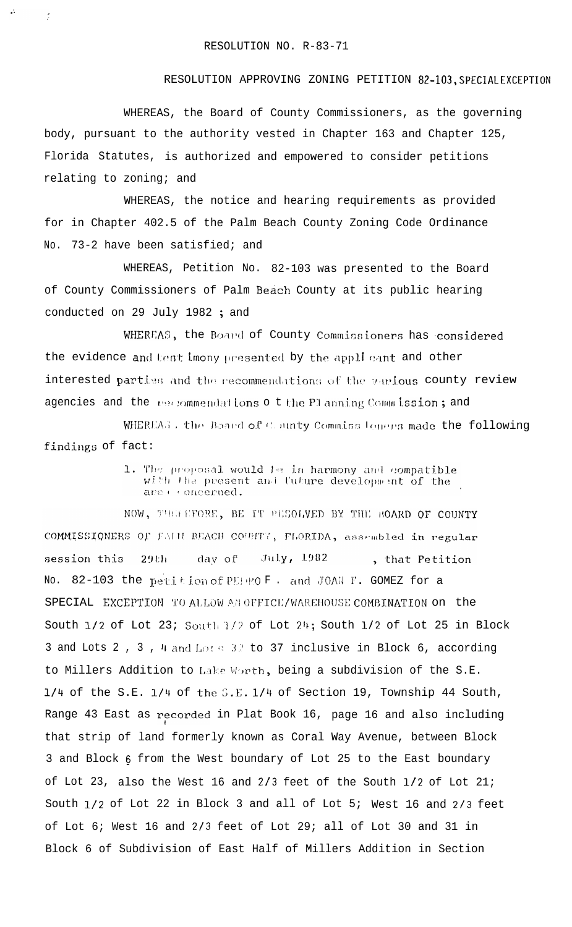$\ddot{\phantom{a}}$ 

 $\tilde{\mathcal{L}}$ 

## RESOLUTION APPROVING ZONING PETITION 82-103, SPECIAL EXCEPTION

WHEREAS, the Board of County Commissioners, as the governing body, pursuant to the authority vested in Chapter 163 and Chapter 125, Florida Statutes, is authorized and empowered to consider petitions relating to zoning; and

WHEREAS, the notice and hearing requirements as provided for in Chapter 402.5 of the Palm Beach County Zoning Code Ordinance No. 73-2 have been satisfied; and

WHEREAS, Petition No. 82-103 was presented to the Board of County Commissioners of Palm Beach County at its public hearing conducted on 29 July 1982; and

WHEREAS, the Board of County Commissioners has considered the evidence and test imony presented by the applicant and other interested parties and the recommendations of the various county review agencies and the vectommendations of the Planning Commission; and

WHEREAS, the Board of County Commissioners made the following findings of fact:

> 1. The proposal would be in harmony and compatible with the present and future development of the are es oncerned.

NOW, THEFFFORE, BE IT PESOLVED BY THE BOARD OF COUNTY COMMISSIONERS OF FALIL BEACH COUNTY, FLORIDA, assembled in regular session this 29th day of July, 1982 , that Petition No. 82-103 the petition of PEPPOF. and JOAN F. GOMEZ for a SPECIAL EXCEPTION TO ALLOW AN OFFICE/WAREHOUSE COMBINATION on the South 1/2 of Lot 23; South 1/? of Lot 24; South 1/2 of Lot 25 in Block 3 and Lots 2, 3, 4 and Lots 32 to 37 inclusive in Block 6, according to Millers Addition to Lake Worth, being a subdivision of the S.E. 1/4 of the S.E. 1/4 of the S.E. 1/4 of Section 19, Township 44 South, Range 43 East as recorded in Plat Book 16, page 16 and also including that strip of land formerly known as Coral Way Avenue, between Block 3 and Block 6 from the West boundary of Lot 25 to the East boundary of Lot 23, also the West 16 and 2/3 feet of the South 1/2 of Lot 21; South 1/2 of Lot 22 in Block 3 and all of Lot 5; West 16 and 2/3 feet of Lot 6; West 16 and 2/3 feet of Lot 29; all of Lot 30 and 31 in Block 6 of Subdivision of East Half of Millers Addition in Section